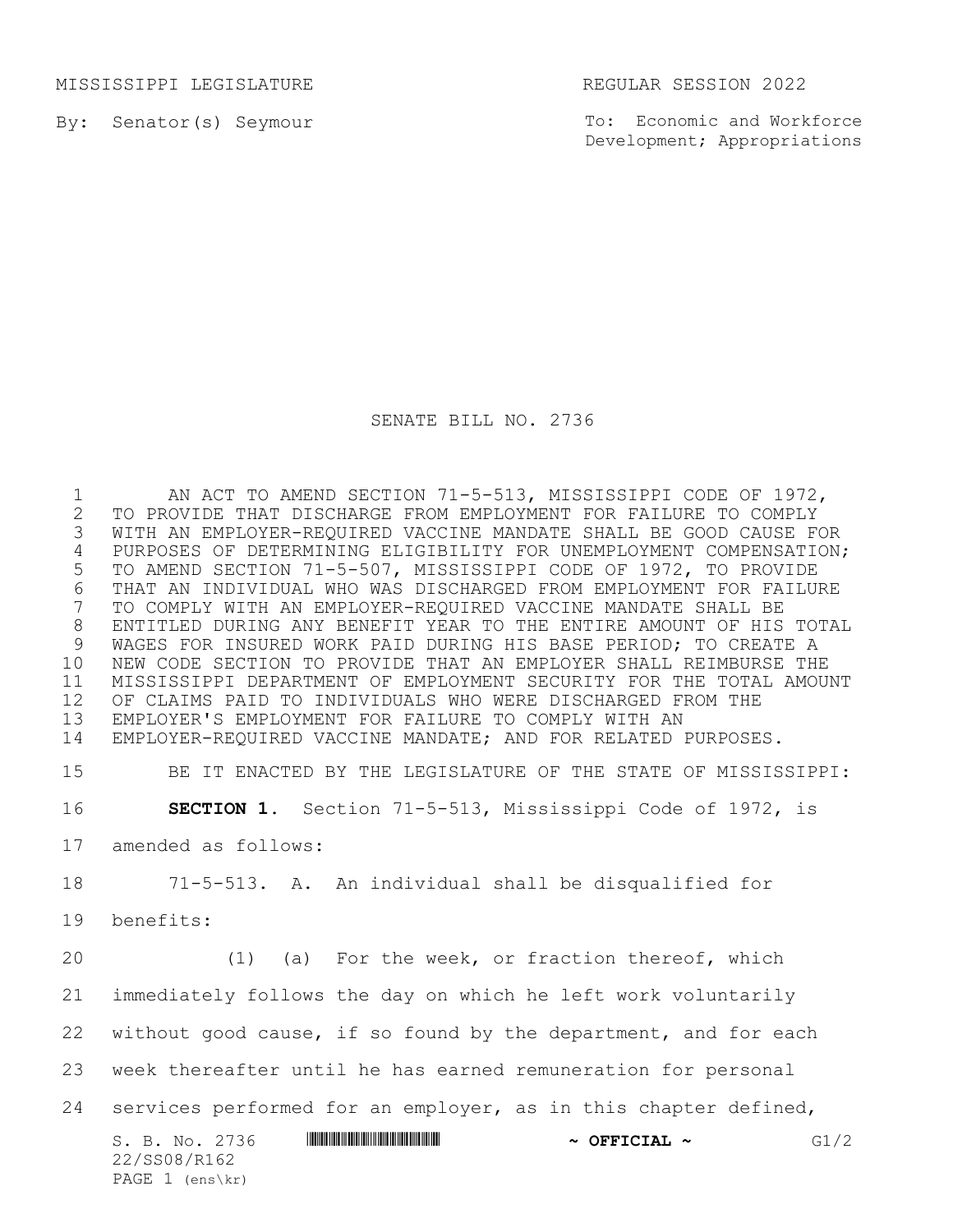MISSISSIPPI LEGISLATURE REGULAR SESSION 2022

By: Senator(s) Seymour

PAGE 1 (ens\kr)

To: Economic and Workforce Development; Appropriations

## SENATE BILL NO. 2736

S. B. No. 2736 \*SS08/R162\* **~ OFFICIAL ~** G1/2 22/SS08/R162 1 AN ACT TO AMEND SECTION 71-5-513, MISSISSIPPI CODE OF 1972, TO PROVIDE THAT DISCHARGE FROM EMPLOYMENT FOR FAILURE TO COMPLY WITH AN EMPLOYER-REQUIRED VACCINE MANDATE SHALL BE GOOD CAUSE FOR PURPOSES OF DETERMINING ELIGIBILITY FOR UNEMPLOYMENT COMPENSATION; TO AMEND SECTION 71-5-507, MISSISSIPPI CODE OF 1972, TO PROVIDE 6 THAT AN INDIVIDUAL WHO WAS DISCHARGED FROM EMPLOYMENT FOR FAILURE<br>7 TO COMPLY WITH AN EMPLOYER-REQUIRED VACCINE MANDATE SHALL BE TO COMPLY WITH AN EMPLOYER-REQUIRED VACCINE MANDATE SHALL BE ENTITLED DURING ANY BENEFIT YEAR TO THE ENTIRE AMOUNT OF HIS TOTAL WAGES FOR INSURED WORK PAID DURING HIS BASE PERIOD; TO CREATE A NEW CODE SECTION TO PROVIDE THAT AN EMPLOYER SHALL REIMBURSE THE MISSISSIPPI DEPARTMENT OF EMPLOYMENT SECURITY FOR THE TOTAL AMOUNT OF CLAIMS PAID TO INDIVIDUALS WHO WERE DISCHARGED FROM THE EMPLOYER'S EMPLOYMENT FOR FAILURE TO COMPLY WITH AN EMPLOYER-REQUIRED VACCINE MANDATE; AND FOR RELATED PURPOSES. BE IT ENACTED BY THE LEGISLATURE OF THE STATE OF MISSISSIPPI: **SECTION 1.** Section 71-5-513, Mississippi Code of 1972, is amended as follows: 71-5-513. A. An individual shall be disqualified for benefits: (1) (a) For the week, or fraction thereof, which immediately follows the day on which he left work voluntarily without good cause, if so found by the department, and for each week thereafter until he has earned remuneration for personal services performed for an employer, as in this chapter defined,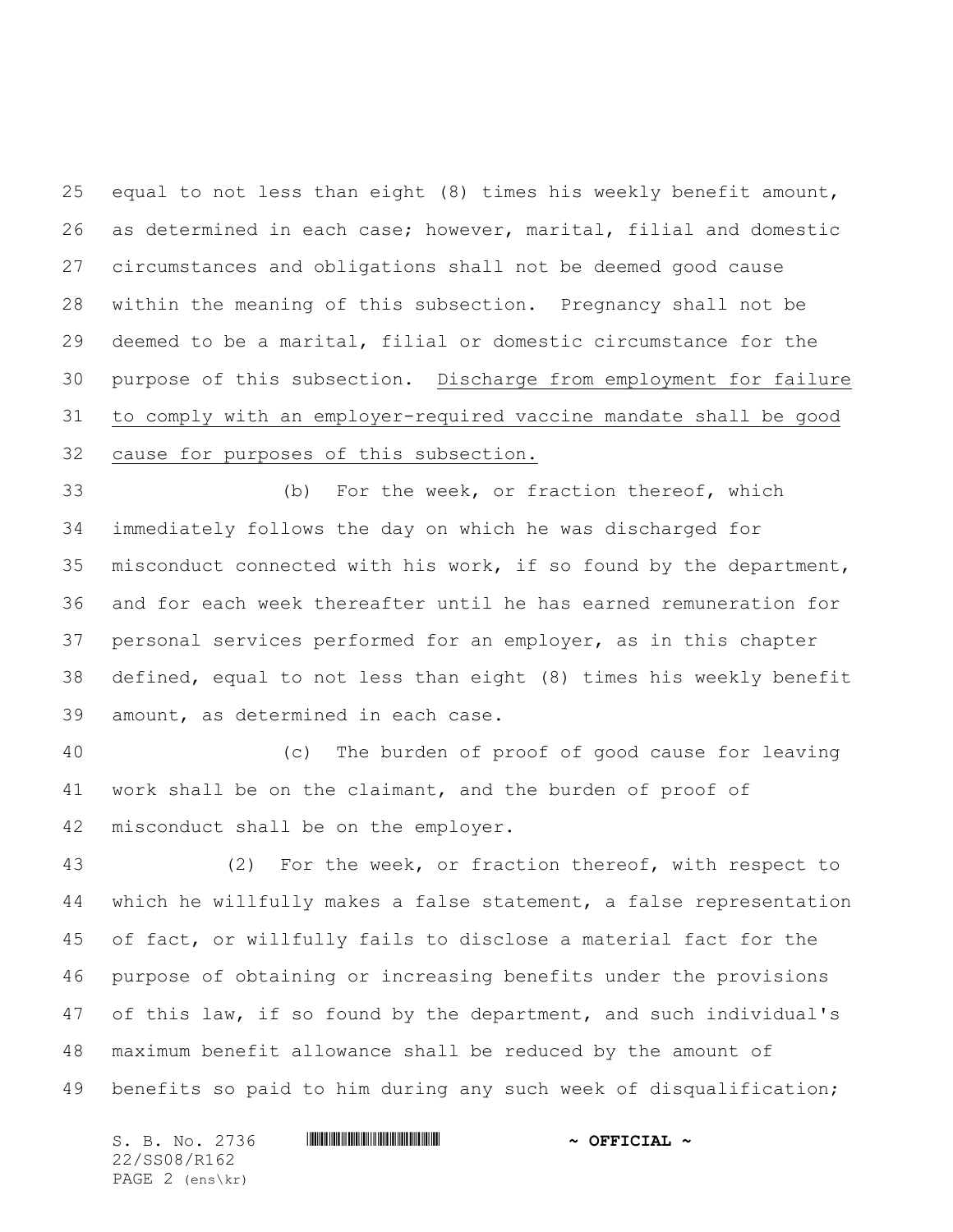equal to not less than eight (8) times his weekly benefit amount, as determined in each case; however, marital, filial and domestic circumstances and obligations shall not be deemed good cause within the meaning of this subsection. Pregnancy shall not be deemed to be a marital, filial or domestic circumstance for the purpose of this subsection. Discharge from employment for failure to comply with an employer-required vaccine mandate shall be good cause for purposes of this subsection.

 (b) For the week, or fraction thereof, which immediately follows the day on which he was discharged for misconduct connected with his work, if so found by the department, and for each week thereafter until he has earned remuneration for personal services performed for an employer, as in this chapter defined, equal to not less than eight (8) times his weekly benefit amount, as determined in each case.

 (c) The burden of proof of good cause for leaving work shall be on the claimant, and the burden of proof of misconduct shall be on the employer.

 (2) For the week, or fraction thereof, with respect to which he willfully makes a false statement, a false representation of fact, or willfully fails to disclose a material fact for the purpose of obtaining or increasing benefits under the provisions of this law, if so found by the department, and such individual's maximum benefit allowance shall be reduced by the amount of benefits so paid to him during any such week of disqualification;

S. B. No. 2736 \*SS08/R162\* **~ OFFICIAL ~** 22/SS08/R162 PAGE 2 (ens\kr)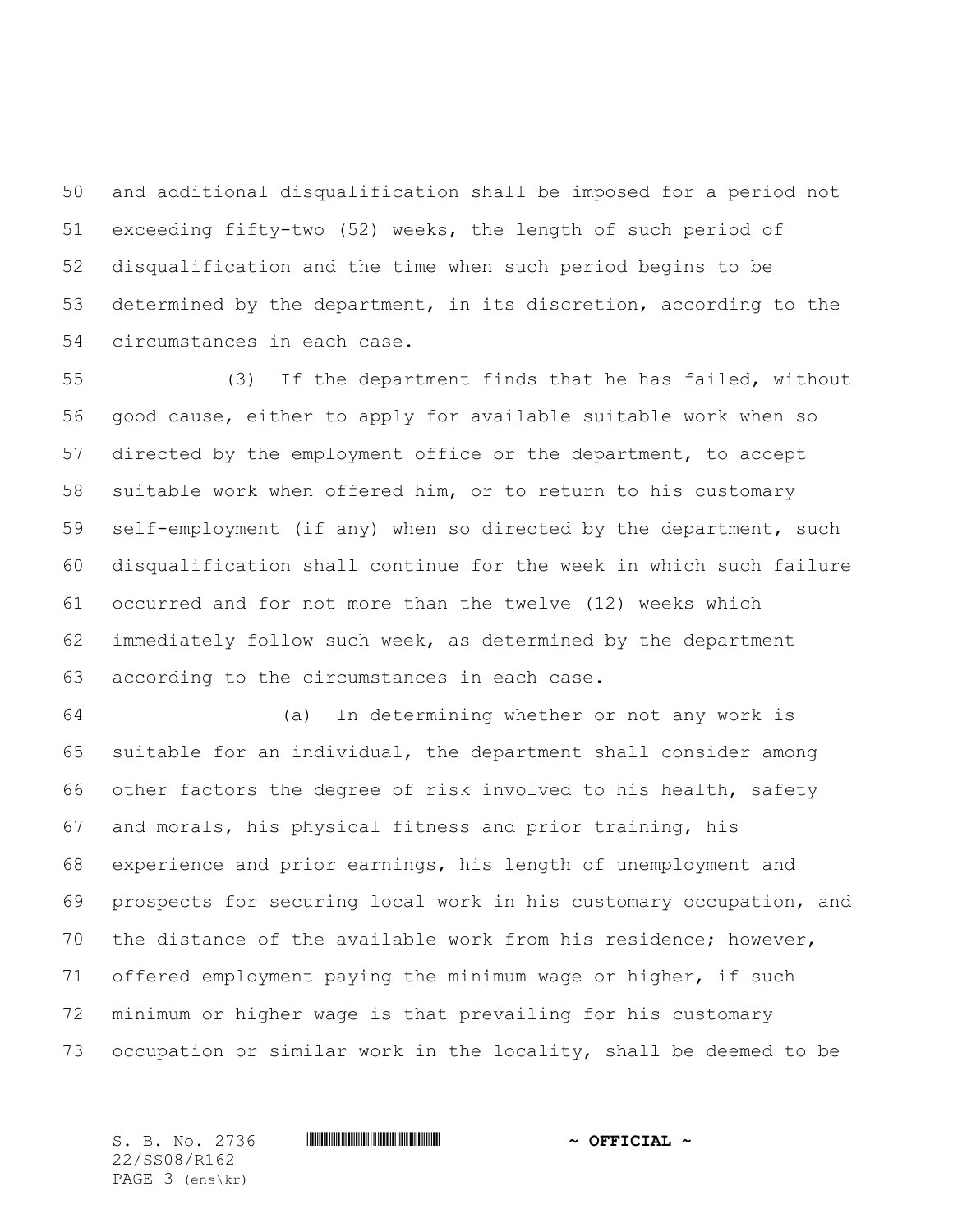and additional disqualification shall be imposed for a period not exceeding fifty-two (52) weeks, the length of such period of disqualification and the time when such period begins to be determined by the department, in its discretion, according to the circumstances in each case.

 (3) If the department finds that he has failed, without good cause, either to apply for available suitable work when so directed by the employment office or the department, to accept suitable work when offered him, or to return to his customary self-employment (if any) when so directed by the department, such disqualification shall continue for the week in which such failure occurred and for not more than the twelve (12) weeks which immediately follow such week, as determined by the department according to the circumstances in each case.

 (a) In determining whether or not any work is suitable for an individual, the department shall consider among other factors the degree of risk involved to his health, safety and morals, his physical fitness and prior training, his experience and prior earnings, his length of unemployment and prospects for securing local work in his customary occupation, and the distance of the available work from his residence; however, offered employment paying the minimum wage or higher, if such minimum or higher wage is that prevailing for his customary occupation or similar work in the locality, shall be deemed to be

22/SS08/R162 PAGE 3 (ens\kr)

S. B. No. 2736 \*SS08/R162\* **~ OFFICIAL ~**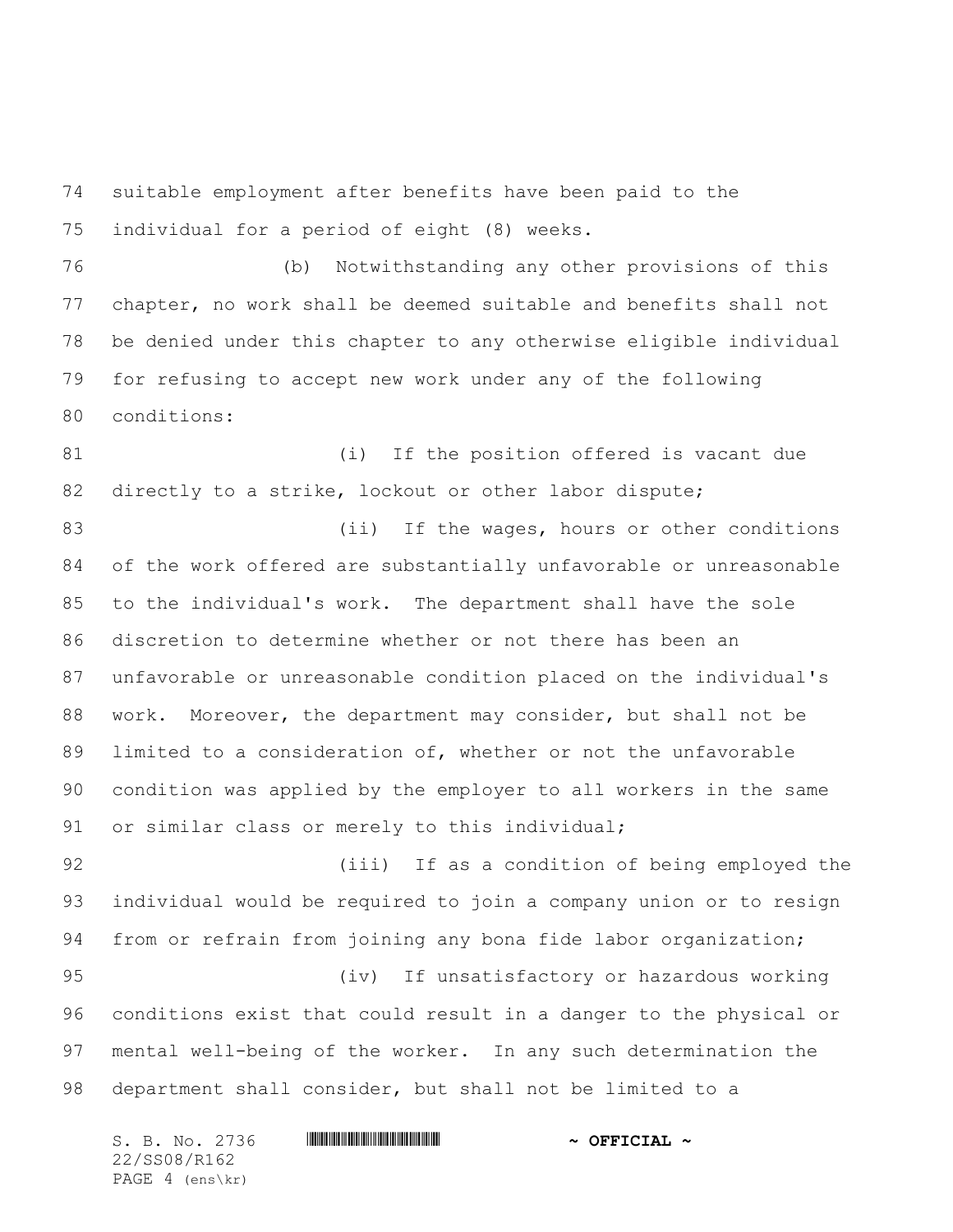suitable employment after benefits have been paid to the individual for a period of eight (8) weeks.

 (b) Notwithstanding any other provisions of this chapter, no work shall be deemed suitable and benefits shall not be denied under this chapter to any otherwise eligible individual for refusing to accept new work under any of the following conditions:

81 (i) If the position offered is vacant due 82 directly to a strike, lockout or other labor dispute;

83 (ii) If the wages, hours or other conditions of the work offered are substantially unfavorable or unreasonable to the individual's work. The department shall have the sole discretion to determine whether or not there has been an unfavorable or unreasonable condition placed on the individual's work. Moreover, the department may consider, but shall not be limited to a consideration of, whether or not the unfavorable condition was applied by the employer to all workers in the same or similar class or merely to this individual;

 (iii) If as a condition of being employed the individual would be required to join a company union or to resign from or refrain from joining any bona fide labor organization; (iv) If unsatisfactory or hazardous working conditions exist that could result in a danger to the physical or mental well-being of the worker. In any such determination the department shall consider, but shall not be limited to a

S. B. No. 2736 \*SS08/R162\* **~ OFFICIAL ~** 22/SS08/R162 PAGE 4 (ens\kr)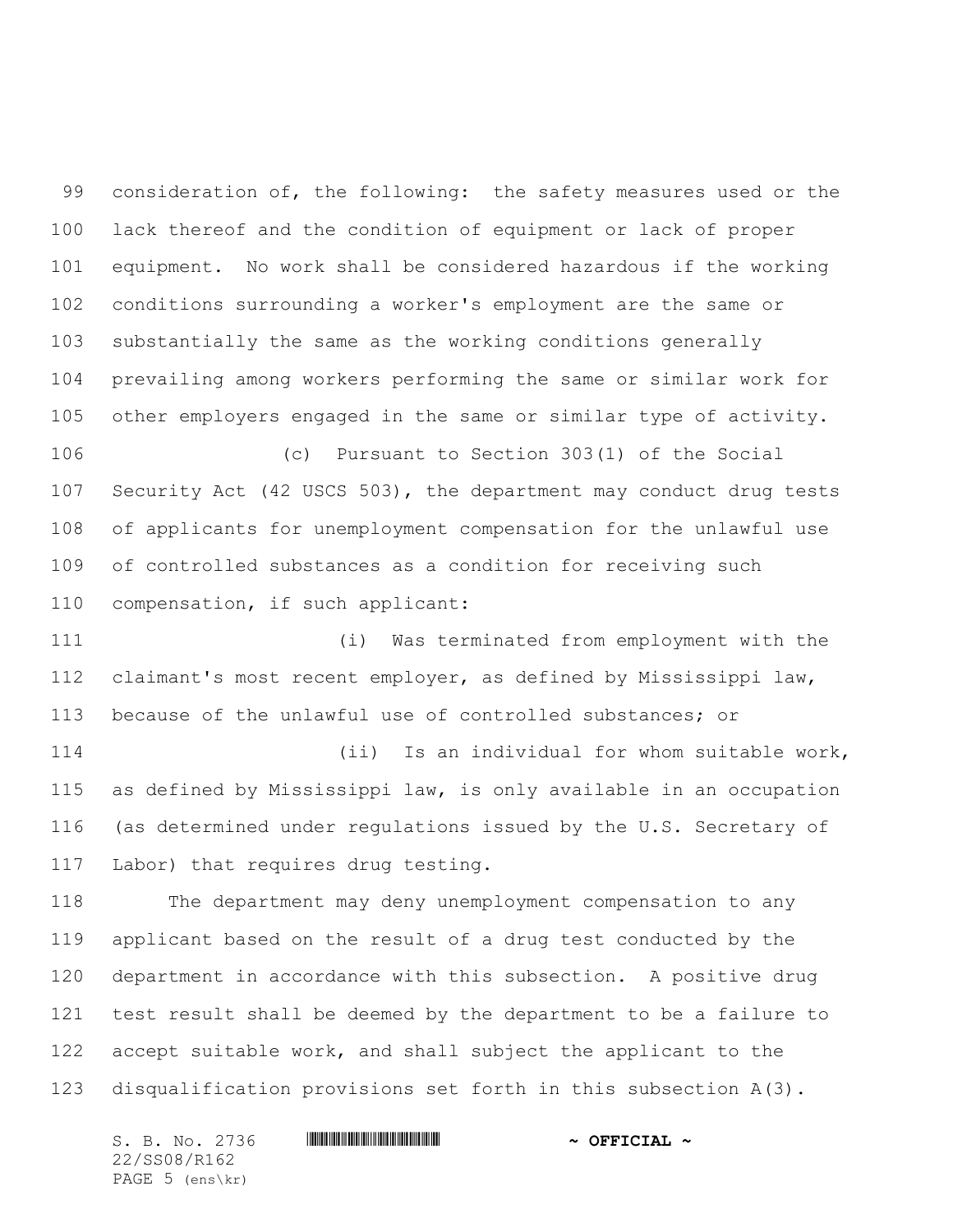consideration of, the following: the safety measures used or the lack thereof and the condition of equipment or lack of proper equipment. No work shall be considered hazardous if the working conditions surrounding a worker's employment are the same or substantially the same as the working conditions generally prevailing among workers performing the same or similar work for other employers engaged in the same or similar type of activity.

 (c) Pursuant to Section 303(1) of the Social Security Act (42 USCS 503), the department may conduct drug tests of applicants for unemployment compensation for the unlawful use of controlled substances as a condition for receiving such compensation, if such applicant:

 (i) Was terminated from employment with the claimant's most recent employer, as defined by Mississippi law, because of the unlawful use of controlled substances; or

 (ii) Is an individual for whom suitable work, as defined by Mississippi law, is only available in an occupation (as determined under regulations issued by the U.S. Secretary of Labor) that requires drug testing.

 The department may deny unemployment compensation to any applicant based on the result of a drug test conducted by the department in accordance with this subsection. A positive drug test result shall be deemed by the department to be a failure to accept suitable work, and shall subject the applicant to the disqualification provisions set forth in this subsection A(3).

S. B. No. 2736 \*SS08/R162\* **~ OFFICIAL ~** 22/SS08/R162 PAGE 5 (ens\kr)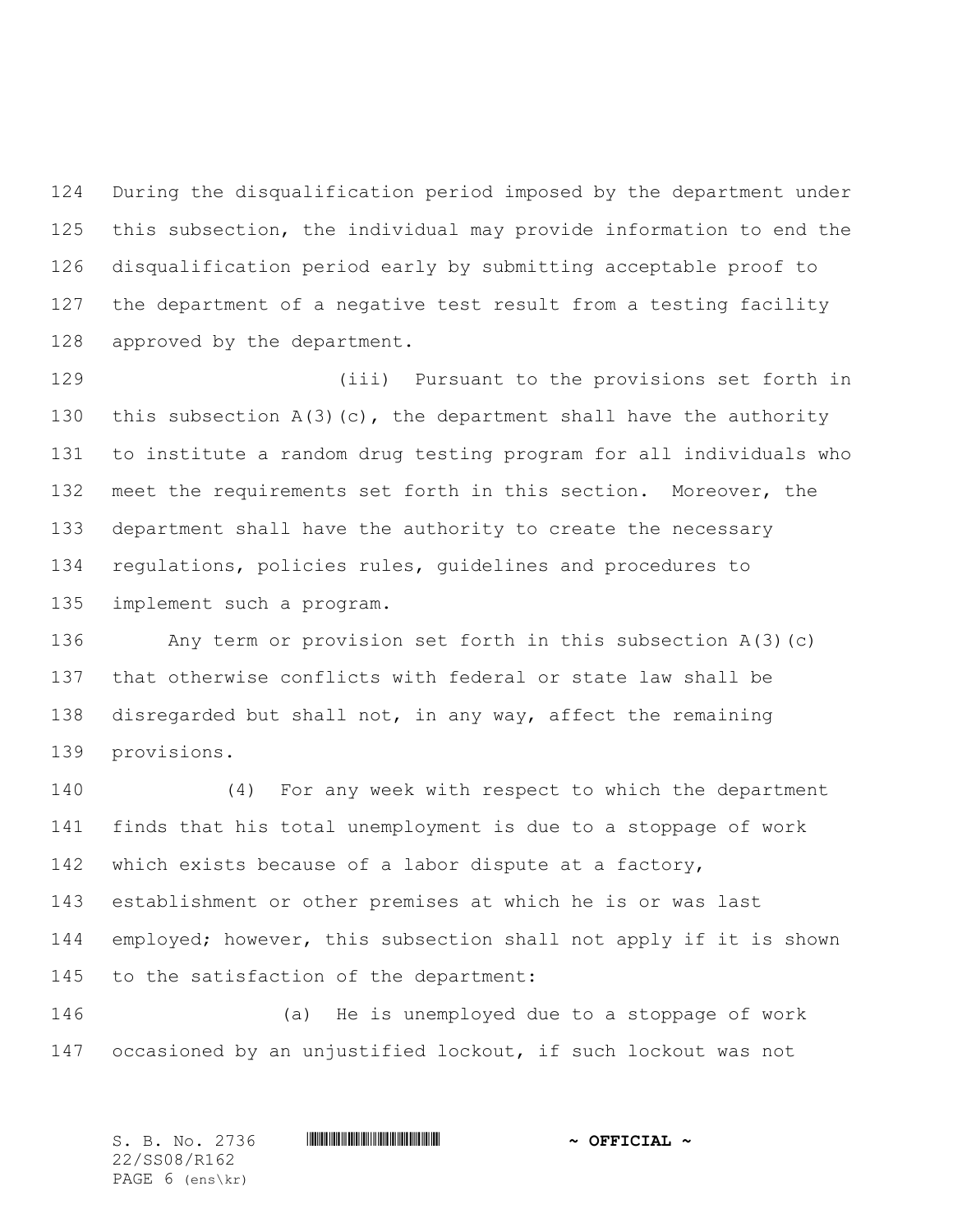During the disqualification period imposed by the department under this subsection, the individual may provide information to end the disqualification period early by submitting acceptable proof to the department of a negative test result from a testing facility approved by the department.

 (iii) Pursuant to the provisions set forth in 130 this subsection  $A(3)(c)$ , the department shall have the authority to institute a random drug testing program for all individuals who meet the requirements set forth in this section. Moreover, the department shall have the authority to create the necessary regulations, policies rules, guidelines and procedures to implement such a program.

 Any term or provision set forth in this subsection A(3)(c) that otherwise conflicts with federal or state law shall be disregarded but shall not, in any way, affect the remaining provisions.

 (4) For any week with respect to which the department finds that his total unemployment is due to a stoppage of work which exists because of a labor dispute at a factory, establishment or other premises at which he is or was last employed; however, this subsection shall not apply if it is shown to the satisfaction of the department:

 (a) He is unemployed due to a stoppage of work occasioned by an unjustified lockout, if such lockout was not

S. B. No. 2736 \*SS08/R162\* **~ OFFICIAL ~** 22/SS08/R162 PAGE 6 (ens\kr)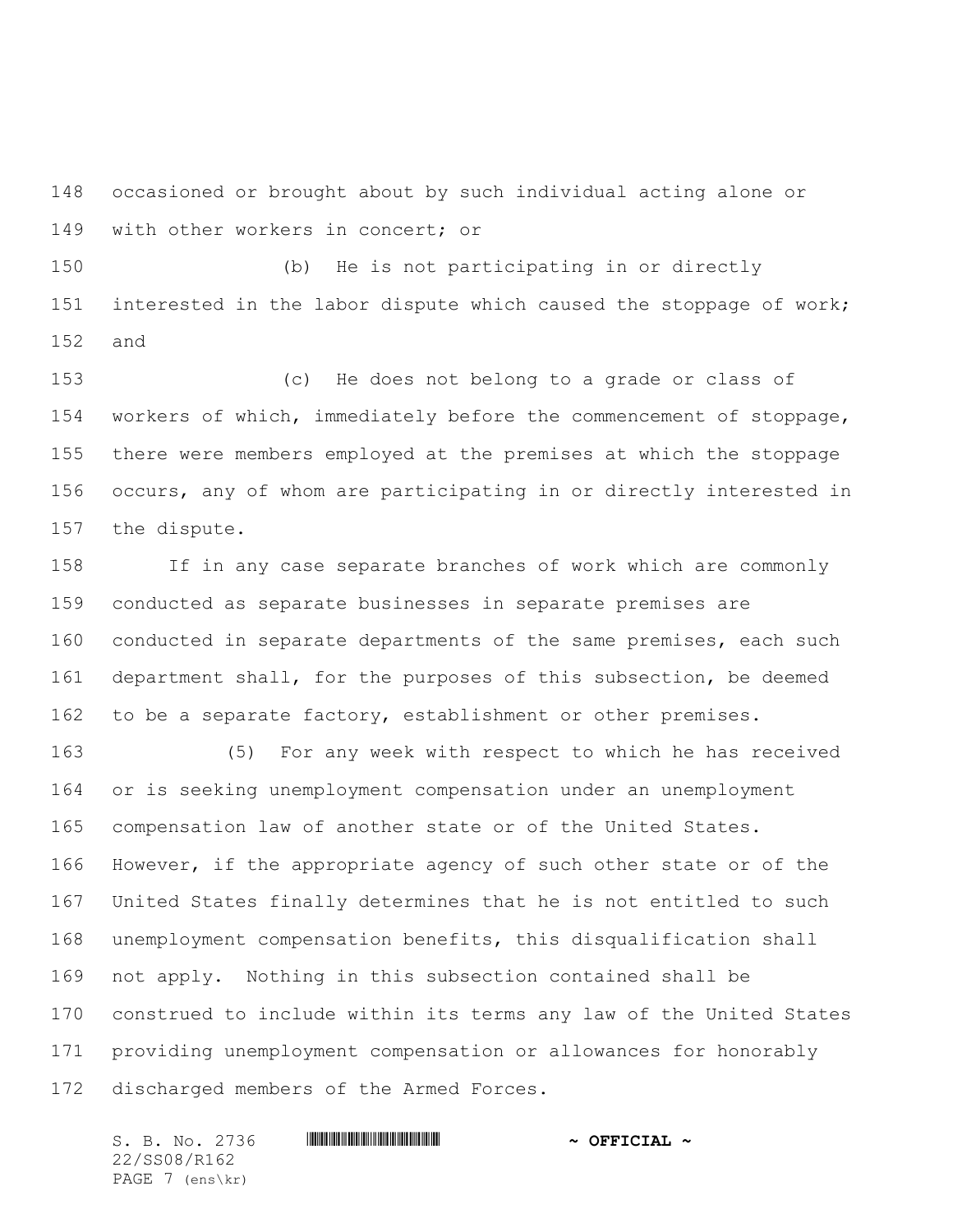occasioned or brought about by such individual acting alone or with other workers in concert; or

 (b) He is not participating in or directly interested in the labor dispute which caused the stoppage of work; and

 (c) He does not belong to a grade or class of workers of which, immediately before the commencement of stoppage, there were members employed at the premises at which the stoppage occurs, any of whom are participating in or directly interested in the dispute.

 If in any case separate branches of work which are commonly conducted as separate businesses in separate premises are conducted in separate departments of the same premises, each such department shall, for the purposes of this subsection, be deemed to be a separate factory, establishment or other premises.

 (5) For any week with respect to which he has received or is seeking unemployment compensation under an unemployment compensation law of another state or of the United States. However, if the appropriate agency of such other state or of the United States finally determines that he is not entitled to such unemployment compensation benefits, this disqualification shall not apply. Nothing in this subsection contained shall be construed to include within its terms any law of the United States providing unemployment compensation or allowances for honorably discharged members of the Armed Forces.

S. B. No. 2736 \*SS08/R162\* **~ OFFICIAL ~** 22/SS08/R162 PAGE 7 (ens\kr)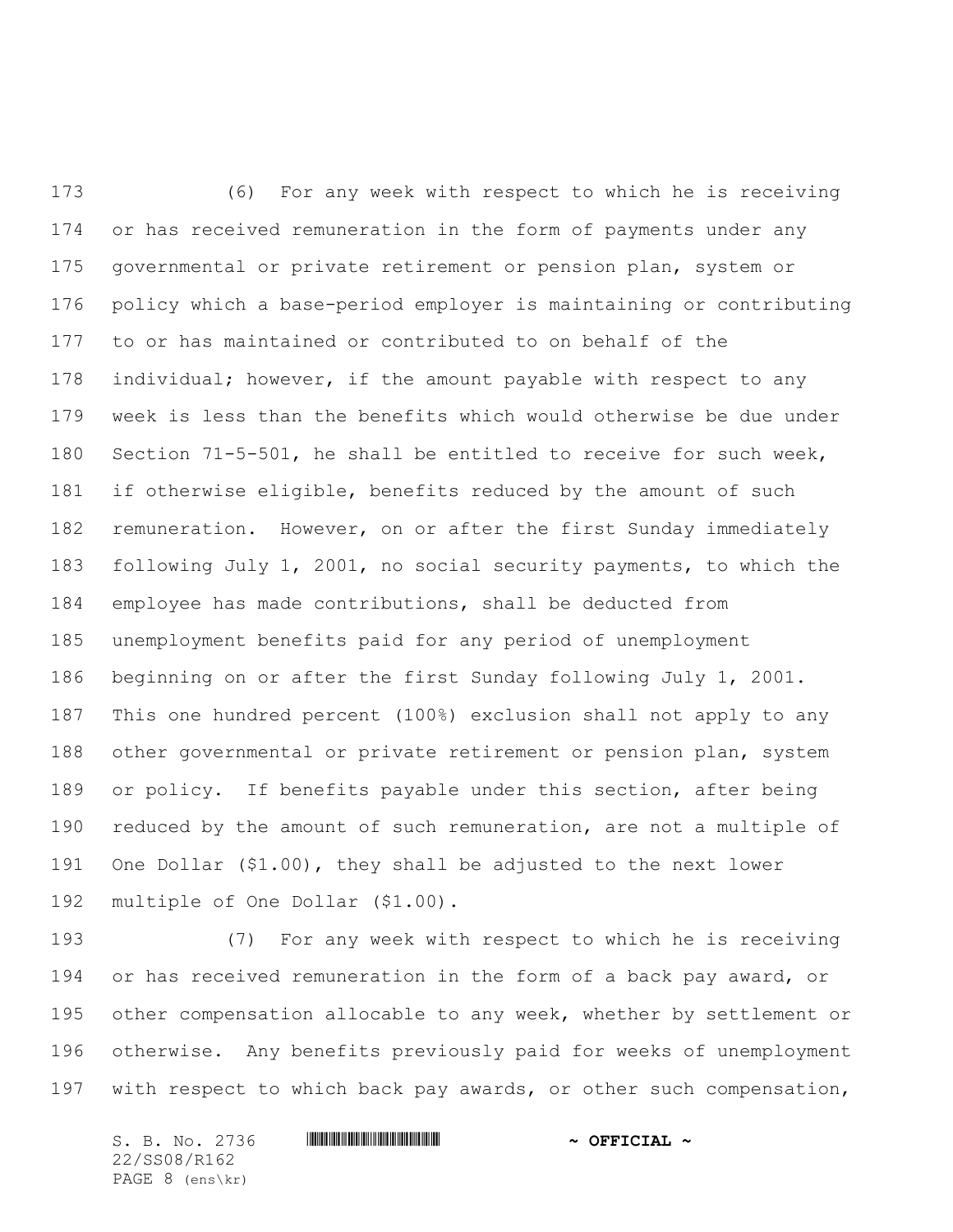(6) For any week with respect to which he is receiving or has received remuneration in the form of payments under any governmental or private retirement or pension plan, system or policy which a base-period employer is maintaining or contributing to or has maintained or contributed to on behalf of the individual; however, if the amount payable with respect to any week is less than the benefits which would otherwise be due under Section 71-5-501, he shall be entitled to receive for such week, if otherwise eligible, benefits reduced by the amount of such remuneration. However, on or after the first Sunday immediately following July 1, 2001, no social security payments, to which the employee has made contributions, shall be deducted from unemployment benefits paid for any period of unemployment beginning on or after the first Sunday following July 1, 2001. This one hundred percent (100%) exclusion shall not apply to any 188 other governmental or private retirement or pension plan, system or policy. If benefits payable under this section, after being 190 reduced by the amount of such remuneration, are not a multiple of One Dollar (\$1.00), they shall be adjusted to the next lower multiple of One Dollar (\$1.00).

 (7) For any week with respect to which he is receiving 194 or has received remuneration in the form of a back pay award, or other compensation allocable to any week, whether by settlement or otherwise. Any benefits previously paid for weeks of unemployment with respect to which back pay awards, or other such compensation,

S. B. No. 2736 \*SS08/R162\* **~ OFFICIAL ~** 22/SS08/R162 PAGE 8 (ens\kr)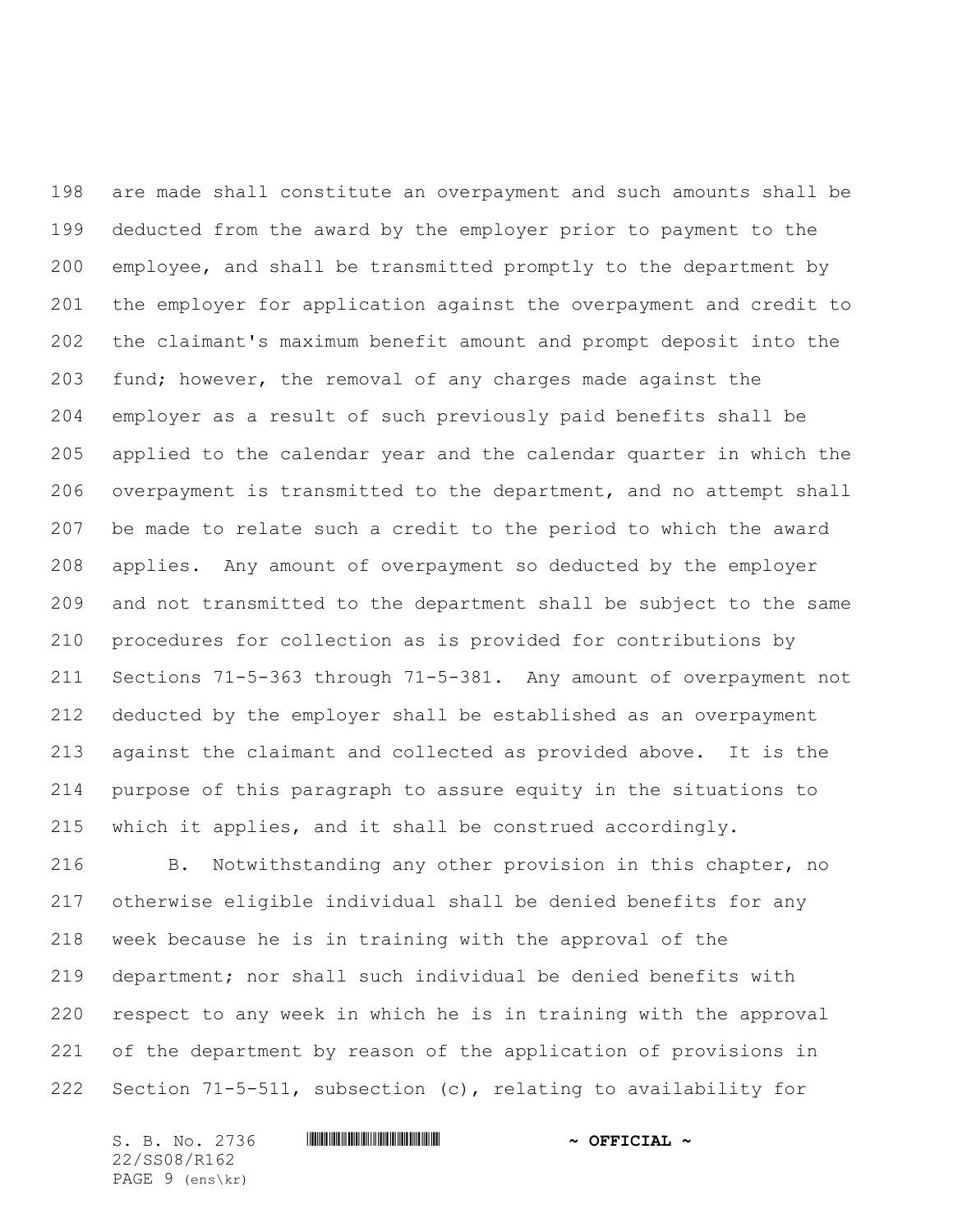are made shall constitute an overpayment and such amounts shall be deducted from the award by the employer prior to payment to the employee, and shall be transmitted promptly to the department by the employer for application against the overpayment and credit to the claimant's maximum benefit amount and prompt deposit into the fund; however, the removal of any charges made against the employer as a result of such previously paid benefits shall be applied to the calendar year and the calendar quarter in which the overpayment is transmitted to the department, and no attempt shall be made to relate such a credit to the period to which the award applies. Any amount of overpayment so deducted by the employer and not transmitted to the department shall be subject to the same procedures for collection as is provided for contributions by Sections 71-5-363 through 71-5-381. Any amount of overpayment not deducted by the employer shall be established as an overpayment against the claimant and collected as provided above. It is the purpose of this paragraph to assure equity in the situations to which it applies, and it shall be construed accordingly.

 B. Notwithstanding any other provision in this chapter, no otherwise eligible individual shall be denied benefits for any week because he is in training with the approval of the department; nor shall such individual be denied benefits with respect to any week in which he is in training with the approval of the department by reason of the application of provisions in Section 71-5-511, subsection (c), relating to availability for

S. B. No. 2736 \*SS08/R162\* **~ OFFICIAL ~** 22/SS08/R162 PAGE 9 (ens\kr)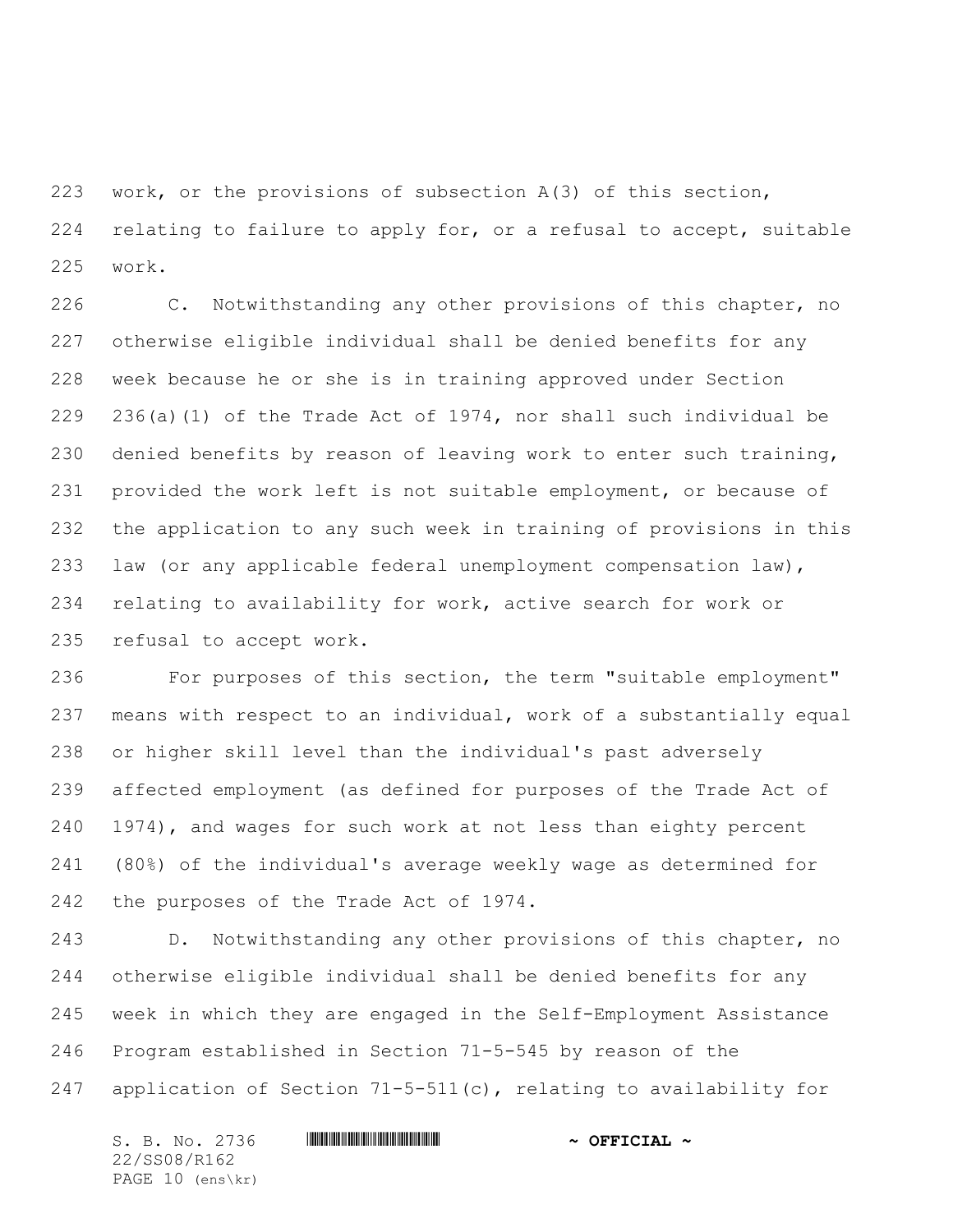work, or the provisions of subsection A(3) of this section, relating to failure to apply for, or a refusal to accept, suitable work.

 C. Notwithstanding any other provisions of this chapter, no otherwise eligible individual shall be denied benefits for any week because he or she is in training approved under Section 236(a)(1) of the Trade Act of 1974, nor shall such individual be denied benefits by reason of leaving work to enter such training, provided the work left is not suitable employment, or because of the application to any such week in training of provisions in this law (or any applicable federal unemployment compensation law), relating to availability for work, active search for work or refusal to accept work.

 For purposes of this section, the term "suitable employment" means with respect to an individual, work of a substantially equal or higher skill level than the individual's past adversely affected employment (as defined for purposes of the Trade Act of 1974), and wages for such work at not less than eighty percent (80%) of the individual's average weekly wage as determined for the purposes of the Trade Act of 1974.

 D. Notwithstanding any other provisions of this chapter, no otherwise eligible individual shall be denied benefits for any week in which they are engaged in the Self-Employment Assistance Program established in Section 71-5-545 by reason of the application of Section 71-5-511(c), relating to availability for

S. B. No. 2736 \*SS08/R162\* **~ OFFICIAL ~** 22/SS08/R162 PAGE 10 (ens\kr)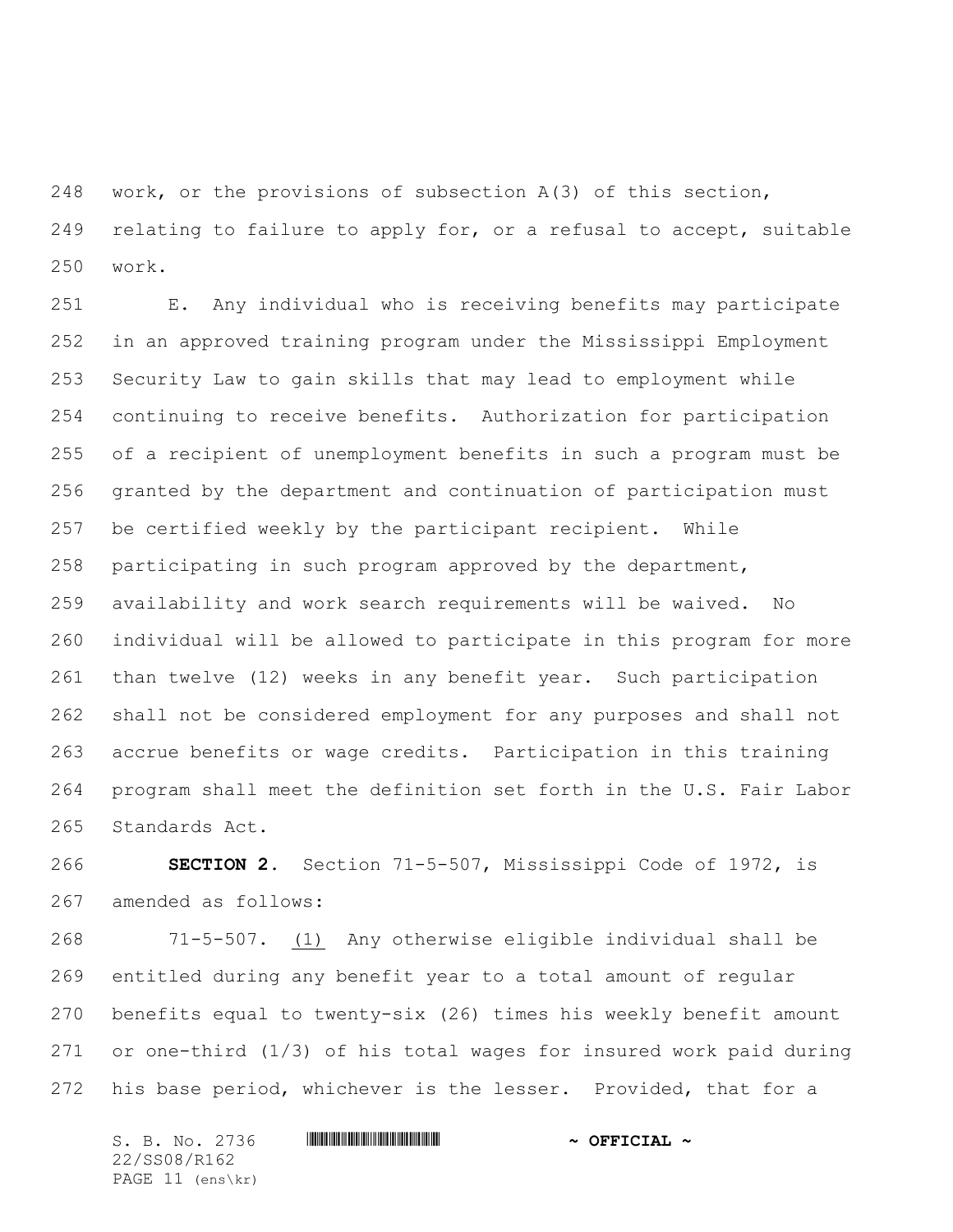work, or the provisions of subsection A(3) of this section, relating to failure to apply for, or a refusal to accept, suitable work.

 E. Any individual who is receiving benefits may participate in an approved training program under the Mississippi Employment Security Law to gain skills that may lead to employment while continuing to receive benefits. Authorization for participation of a recipient of unemployment benefits in such a program must be granted by the department and continuation of participation must be certified weekly by the participant recipient. While participating in such program approved by the department, availability and work search requirements will be waived. No individual will be allowed to participate in this program for more than twelve (12) weeks in any benefit year. Such participation shall not be considered employment for any purposes and shall not accrue benefits or wage credits. Participation in this training program shall meet the definition set forth in the U.S. Fair Labor Standards Act.

 **SECTION 2.** Section 71-5-507, Mississippi Code of 1972, is amended as follows:

 71-5-507. (1) Any otherwise eligible individual shall be entitled during any benefit year to a total amount of regular benefits equal to twenty-six (26) times his weekly benefit amount or one-third (1/3) of his total wages for insured work paid during his base period, whichever is the lesser. Provided, that for a

S. B. No. 2736 \*SS08/R162\* **~ OFFICIAL ~** 22/SS08/R162 PAGE 11 (ens\kr)